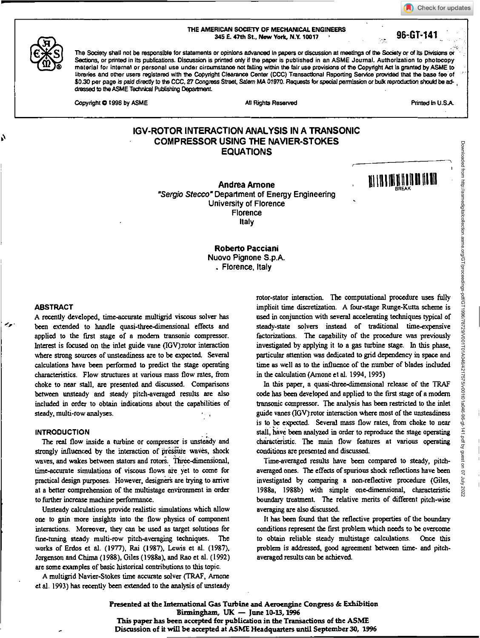Check for updates

#### **THE AMERICAN SOCIETY OF MECHANICAL ENGINEERS 345 E 47th St., New York, N.Y. 10017 966T-141**

**The** Society shall not be responsible for statements or opinions advanced In papers or discussion at meetings of the Society or of Its Divisions or Sections, or printed in its publications. Discussion is printed only if the paper is published in an ASME Journal. Authorization to photocopy material for internal or personal use under circumstance not falling within the fair use provisions of the Copyright Act is granted **by** *ASME* to libreries and other users registered with the Copyright Clearance Center (CCC) Transactional Reporting Service provided that the base fee of \$0.30 per page is paid directly to the CCC, 27 Congress Street, Salem MA 01970. Requests for special permission or bulk reproduction should be addressed to the ASME Technical Publishing Department.

Copyright © 1996 by ASME MI Rights Reserved All Rights Reserved Printed In U.S.A.

El IIIIWO ME

# **IGV-ROTOR INTERACTION ANALYSIS IN A TRANSONIC COMPRESSOR USING THE NAVIER-STOKES EQUATIONS**



Roberto Pacciani Nuovo Pignone S.p.A. . Florence, Italy

#### ABSTRACT

Λ

موم

**A** recently developed, time-accurate multigrid viscous solver has been extended to handle quasi-three-dimensional effects and applied to the first stage of a modern transonic compressor. Interest is focused on the inlet guide vane (IGV):rotor interaction where strong sources of unsteadiness are to be expected. Several calculations have been performed to predict the stage operating characteristics. Flow structures at various mass flow rates, from choke to near stall, are presented and discussed. Comparisons between unsteady and steady pitch-averaged results are also included in order to obtain indications about the capabilities of steady, multi-row analyses

# **INTRODUCTION**

The real flow inside a turbine or compressor is unsteady and strongly influenced by the interaction of pressure waves, shock waves, and wakes between stators and rotors. Three-dimensional, time-accurate simulations of viscous flows are yet to come for practical design purposes. However, designers are trying to arrive at a better comprehension of the multistage environment in order to further increase machine performance.

Unsteady calculations provide realistic simulations which allow one to gain more insights into the flow physics of component interactions. Moreover, they can be used as target solutions for fine-tuning steady multi-row pitch-averaging techniques. The works of Erdos et al. (1977), Rai (1987), Lewis et al. (1987), Jorgenson and Chime (1988), Giles (1988a), and Rao et al. (1992) are some examples of basic historical contributions to this topic.

**A** multigrid Navier-Stokes time accurate solver (TRAF, Arnone et al. 1993) has recently been extended to the analysis of unsteady rotor-stator interaction. The computational procedure uses fully implicit time discretization. A four-stage Runge-Kutta scheme is used in conjunction with several accelerating techniques typical of steady-state solvers instead of traditional time-expensive factorizations. The capability of the procedure was previously investigated by applying it to a gas turbine stage. In this phase, particular attention was dedicated to grid dependency in space and time as well as to the influence of the number of blades included in the calculation (Arnone et al. 1994, 1995)

In this paper, a quasi-three-dimensional release of the TRAF code has been developed and applied to the first stage of a modern transonic compressor. The analysis has been restricted to the inlet guide vanes (IGV) rotor interaction where most of the unsteadiness is to be expected. Several mass flow rates, from choke to near stall, have been analyzed in order to reproduce the stage operating characteristic. The main flow features at various operating conditions are presented and discussed.

Time-averaged results have been compared to steady, pitchaveraged ones. The effects of spurious shock reflections have been investigated by comparing a non-reflective procedure (Giles, 1988a, 1988b) with simple one-dimensional, characteristic boundary treatment. The relative merits of different pitch-wise averaging are also discussed.

It has been found that the reflective properties of the boundary conditions represent the first problem which needs to be overcome to obtain reliable steady multistage calculations. Once this problem is addressed, good agreement between time- and pitchaveraged results can be achieved.

Downloaded from http://asmedigitalcollection.asme.org/GT/proceedings-pdf/GT1996/78729/V001T01A046/4217575/v001t01a96-96-gt-141.pdf by guest on 07 July 2022 Downloaded from http://asmedigitalcollection.asme.org/GT/proceedings-pdf/GT1996/78729/V001T01A046/4217575/v001t01a046-96-gt-141.pdf by guest on 07 July 2022

Presented at the International Gas Turbine and Aeroengine Congress & Exhibition **Birmingham, UK — June 10-13, 1996 This paper has been accepted for publication in the Transactions of the ASME Discussion of it will be accepted at ASME Headquarters until September 30, 1996**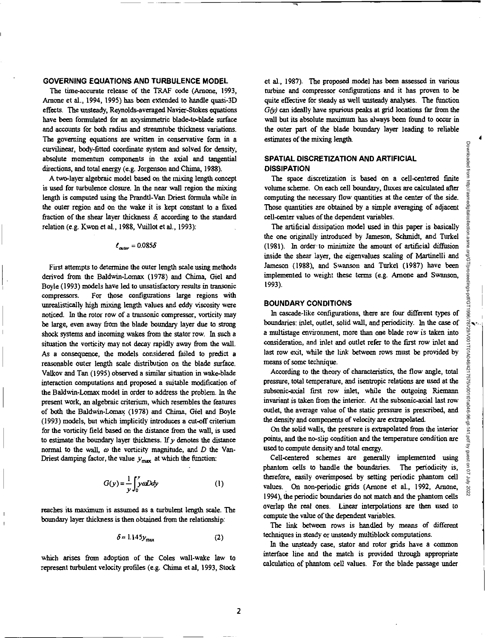#### **GOVERNING EQUATIONS AND TURBULENCE MODEL**

The time-accurate release of the TRAF code (Arnone, 1993, Amone et al., 1994, 1995) has been extended to handle quasi-3D effects. The unsteady, Reynolds-averaged Navier-Stokes equations have been formulated for an axysimmetric blade-to-blade surface and accounts for both radius and streamtube thickness variations. The governing equations are Written in conservative form in a curvilinear, body-fitted coordinate system and solved for density, absolute momentum components in the axial and tangential directions, and total energy (e.g. Jorgenson and Chima, 1988).

A two-layer algebraic model based on the mixing length concept is used for turbulence closure. In the near wall region the mixing length is computed using the Prandtl-Van Driest formula while in the outer region and on the wake it is kept constant to a fixed fraction of the shear layer thickness *5,* according to the standard relation (e.g. Kwon et al., 1988, Vuillot et al., 1993):

$$
\ell_{outer} = 0.085\delta
$$

First attempts to determine the outer length scale using methods derived from the Baldwin-Lomax (1978) and China, Giel and Boyle (1993) models have led to unsatisfactory results in transonic compressors. For those configurations large regions with unrealistically high mixing length values and eddy viscosity were noticed. In the rotor row of a transonic compressor, vorticity may *be* large, even away from the blade boundary layer due to strong shock systems and incoming wakes from the stator row. In such a situation the vorticity may not decay rapidly away from the wall. As a consequence, the models considered failed to predict a reasonable outer length scale distribution on the blade surface. Valkov and Tan (1995) observed a similar situation in wake-blade interaction computations and proposed a suitable modification of the Baldwin-Lomax model in order to address the problem. In the present work, an algebraic criterium, which resembles the features of both the Baldwin-Lomax (1978) and Chima, Giel and Boyle (1993) models, but which implicitly introduces a cut-off criterium for the vorticity field based on the distance from the wall, is used to estimate the boundary layer thickness. If  $y$  denotes the distance normal to the wall, *ar* the vorticity magnitude, and *D* the Van-Driest damping factor, the value  $y_{\text{max}}$  at which the function:

$$
G(y) = \frac{1}{y} \int_0^y y \alpha D \, dy \tag{1}
$$

reaches its maximum is assumed as a turbulent length scale. The boundary layer thickness is then obtained from the relationship:

$$
\delta = 1.145 y_{\text{max}} \tag{2}
$$

which arises from adoption of the Coles wall-wake law to represent turbulent velocity profiles (e.g. Chime et al, 1993, Stock et al., 1987). The proposed model has been assessed in various turbine and compressor configurations and it has proven to be quite effective for steady as well unsteady analyses. The function  $G(y)$  can ideally have spurious peaks at grid locations far from the wall but its absolute maximum has always been found to occur in the outer part of the blade boundary layer leading to reliable estimates of the mixing length.

# **SPATIAL DISCRETIZATION AND ARTIFICIAL DISSIPATION**

The space discretization is based on a cell-centered finite volume scheme. On each cell boundary, fluxes are calculated after computing the necessary flow quantities at the center of the side. Those quantities are obtained by a simple averaging of adjacent cell-center values of the dependent variables.

The artificial dissipation model used in this paper is basically the one originally introduced by Jameson, Schmidt, and Turkel (1981). In order to minimize the amount of artificial diffusion inside the shear layer, the eigenvalues scaling of Martinelli and Jameson (1988), and Swanson and Turkel (1987) have been implemented to weight these terms (e.g. Amone and Swanson, 1993).

# **BOUNDARY CONDITIONS**

In cascade-like configurations, there are four different types of boundaries: inlet, outlet, solid wall, and periodicity. In the case of a multistage environment, more than one blade row is taken into consideration, and inlet and outlet refer to the first row inlet and last row exit, while the link between rows must be provided by means of some technique.

According to the theory of characteristics, the flow angle, total pressure, total temperature, and isentropic relations are used at the subsonic-axial first row inlet, while the outgoing Riemann invariant is taken from the interior. At the subsonic-axial last row outlet, the average value of the static pressure is prescribed, and the density and components of velocity are extrapolated.

On the solid walls, the pressure is extrapolated from the interior points, and the no-slip condition and the temperature condition are used to compute density and total energy.

Cell-centered schemes are generally implemented using phantom cells to handle the boundaries. The periodicity is, therefore, easily overimposed by setting periodic phantom cell values.. On non-periodic grids (Amone et al., 1992, Amone, 1994), the periodic boundaries do not match and the phantom cells overlap the real ones. Linear interpolations are then used to compute the value of the dependent variables.

The link between rows is handled by means of different techniques in steady or unsteady multiblock computations.

In the unsteady case, stator and rotor grids have a common interface line and the match is provided through appropriate calculation of phantom cell values. For the blade passage under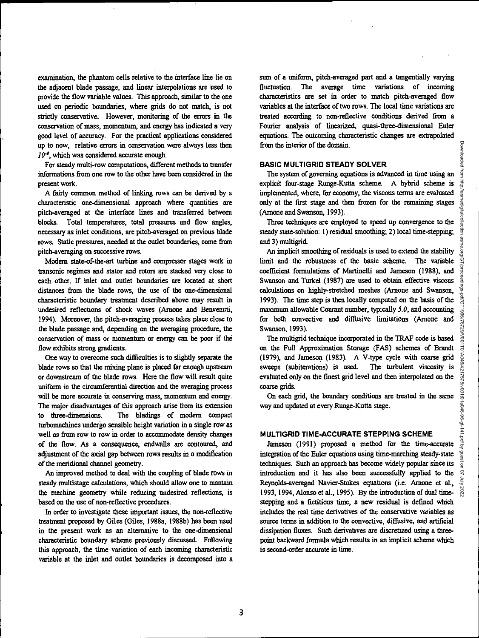examination, the phantom cells relative to the interface line lie on the adjacent blade passage, and linear interpolations are used to provide the flow variable values. This approach, similar to the one used on periodic boundaries, where grids do not match, is not strictly conservative. However, monitoring of the errors in the conservation of mass, momentum, and energy has indicated a very good level of accuracy. For the practical applications considered up to now, relative errors in conservation were always less then *10',* which was considered accurate enough.

For steady multi-row computations, different methods to transfer informations from one row to the other have been considered in the present work.

A fairly common method of linking rows can be derived by a characteristic one-dimensional approach where quantities are pitch-averaged at the interface lines and transferred between blocks. Total temperatures, total pressures and flow angles, necessary as inlet conditions, are pitch-averaged on previous blade rows. Static pressures, needed at the outlet boundaries, come from pitch-averaging on successive rows.

Modern state-of-the-art turbine and compressor stages work in transonic regimes and stator and rotors are stacked very close to each other. If inlet and outlet boundaries are located at short distances from the blade rows, the *use* of the one-dimensional characteristic boundary treatment described above may result in undesired reflections of shock waves (Amone and Benvenuti, 1994). Moreover, the pitch-averaging process takes place close to the blade passage and, depending on the avenging procedure, the conservation of mass or momentum or energy can be poor if the flow exhibits strong gradients.

One way to overcome such difficulties is to slightly separate the blade rows so that the mixing plane is placed far enough upstream or downstream of the blade rows. Here the flaw will result quite uniform in the circumferential direction and the averaging process will be more accurate in conserving mass, momentum and energy. The major disadvantages of this approach arise from its extension to three-dimensions. The bladings of modern compact turbomachines undergo sensible height variation in a single row as well as from row to row in order to accommodate density changes of the flow. As a consequence, endwalls are contoured, and adjustment of the axial gap between rows results in a modification of the meridional channel geometry.

An improved method to deal with the coupling of blade rows in steady multistage calculations, which should allow one to mantain the machine geometry while reducing undesired reflections, is based on the use of non-reflective procedures.

In order to investigate these important issues, the non-reflective treatment proposed by Giles (Giles, 1988a, 1988b) has been used in the present work as an alternative to the one-dimensional characteristic boundary scheme previously discussed. Following this approach, the time variation of each incoming characteristic variable at the inlet and outlet boundaries is decomposed into a

sum of a uniform, pitch-averaged part and a tangentially varying fluctuation. The average time variations of incoming characteristics are set in order to match pitch-averaged flow variables at the interface of two rows. The local time variations are treated according to non-reflective conditions derived from a Fourier analysis of linearized, quasi-three-dimensional Euler equations. The outcoming characteristic changes are extrapolated from the interior of the domain.

# **BASIC MULTIGRID STEADY SOLVER**

The system of governing equations is advanced in time using an explicit four-stage Runge-Kutta scheme. A hybrid scheme is implemented, where, for economy, the viscous terms are evaluated only at the first stage and then frozen for the remaining stages (Amone and Swanson, 1993).

Three techniques are employed to speed up convergence to the steady state-solution: 1) residual smoothing; 2) local time-stepping; and 3) multigrid.

An implicit smoothing of residuals is used to extend the stability limit and the robustness of the basic scheme. The variable coefficient formulations of Martinelli and Jameson (1988), and Swanson and Turkel (1987) are used to obtain effective viscous calculations on highly-stretched meshes (Arnone and Swanson, 1993). The time step is then locally computed on the basis of the maximum allowable Courant number, typically  $5.0$ , and accounting for both *convective* and diffusive limitations (Amone and Swanson, 1993).

The multignd technique incorporated in the TRAF code is based *on the* Full Approximation Storage (FAS) schemes of Brandt (1979), and Jameson (1983). A V-type cycle with coarse grid sweeps (subiterations) is used. The turbulent viscosity is evaluated only on the finest grid level and then interpolated on the coarse grids.

On each grid, the boundary conditions are treated in the same way and updated at every Runge-Kutta stage.

# **MULTIGRID TIME-ACCURATE STEPPING SCHEME**

Jameson (1991) proposed a method for the time-accurate integration of the Euler equations using time-marching steady-state techniques. Such an approach has become widely popular since its introduction and it has also been successfully applied to the Reynolds-averaged Navier-Stokes equations (i.e. Amone et al., 1993, 1994, Alonso et al., 1995). By the introduction of dual timestepping and a fictitious time, a new residual is defined which includes the real time derivatives of the conservative variables as source terms in addition to the convective, diffusive, and artificial dissipation fluxes. Such derivatives are discretized using a threepoint backward formula which results in an implicit scheme which is second-order accurate in time.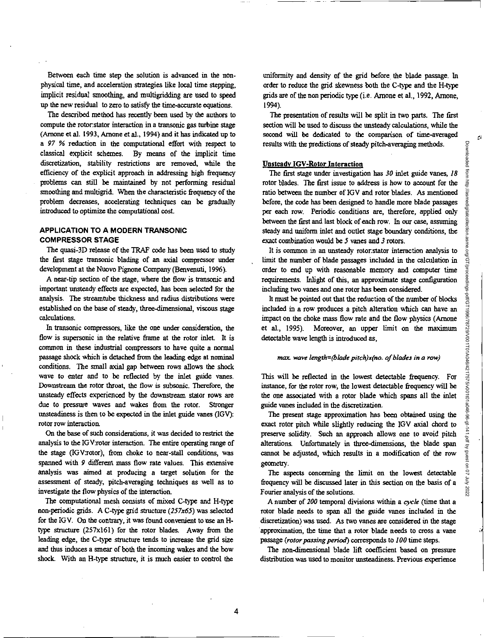ζÌ

Between each time step the solution is advanced in the nonphysical time, and acceleration strategies like local time stepping, implicit residual smoothing, and multigridding are used to speed up the new residual to zero to satisfy the time-accurate equations.

The described method has recently been used by the authors to compute the rotor: stator interaction in a transonic gas turbine stage (Amone et al. 1993, Amone et al., 1994) and it has indicated up to a *97 %* reduction in the computational effort with respect to classical explicit schemes. By means of the implicit time discretization, stability restrictions are removed, while the efficiency of the explicit approach in addressing high frequency problems can still be maintained by not performing residual smoothing and multigrid. When the characteristic frequency of the problem decreases, accelerating techniques can be gradually introduced to optimize the computational cost.

# **APPLICATION TO A MODERN TRANSONIC COMPRESSOR STAGE**

The quasi-3D release of the TRAP code has been used to study the first stage transonic blading of an axial compressor under development at the Nuovo Pignone Company (Benvenuti, 1996).

A near-tip section of the stage, where the flow is transonic and important unsteady effects are expected, has been selected for the analysis. The streamtube thickness and radius distributions were established on the base of steady, three-dimensional, viscous stage calculations.

In transonic compressors, like the one under consideration, the flow is supersonic in the relative frame at the rotor inlet. It is common in these industrial compressors to have quite a normal passage shock which is detached from the leading edge at nominal conditions. The small axial gap between rows allows the shock wave to enter and to be reflected by the inlet guide vanes. Downstream the rotor throat, the flow is subsonic. Therefore, the unsteady effects experienced by the downstream stator rows are due to pressure waves and wakes from the rotor. Stronger unsteadiness is then to be expected in the inlet guide vanes (JOY): rotor row interaction.

On the base of such considerations, it was decided to restrict the analysis to the IGV:rotor interaction. The entire operating range of the stage (IGV:rotor), from choke to near-stall conditions, was spanned with 9 different mass flow rate values. This extensive analysis was aimed at producing a target solution for the assessment of steady, pitch-averaging techniques as well as to investigate the flow physics of the interaction.

The computational mesh consists of mixed C-type and H-type non-periodic grids. A C-type grid structure *(257x65)* was selected for the My. On the contrary, it was found convenient to use an Htype structure (257x161) for the rotor blades. Away from the leading edge, the C-type structure tends to increase the grid size and thus induces a smear of both the incoming wakes and the bow shock. With an H-type structure, it is much easier to control the uniformity and density of the grid before the blade pacsage. In order to reduce the grid skewness both the C-type and the H-type grids are of the non periodic type (i.e. Amone et al., 1992, Amone, 1994).

The presentation of results will be split in two parts. The first section will be used to discuss the unsteady calculations, while the second will be dedicated to the comparison of time-averaged results with the predictions of steady pitch-averaging methods.

#### Unsteady IGV-Rotor Interaction

The first stage under investigation has 30 inlet guide vanes, 18 rotor blades. The first issue to address is how to account for the ratio between the number of IGV and rotor blades. As mentioned before, the code has been designed to handle more blade passages per each row. Periodic conditions are, therefore, applied only between the first and last block of each row. In our case, assuming steady and uniform inlet and outlet stage boundary conditions, the exact combination would be 5 vanes and 3 rotors.

It is common in an unsteady rotor:stator interaction analysis to limit the number of blade pasgages included in the calculation in order to end up with reasonable memory and computer time requirements. Inlight of this, an approximate stage configuration including two vanes and one rotor has been considered.

It must be pointed out that the reduction of the number of blocks included in a row produces a pitch alteration which can have an impact on the choke mass flow rate and the flow physics (Amone et al., 1995). Moreover, an upper limit on the maximum detectable wave length is introduced as,

#### *max. wave length= (blade pitch)x(no. of blades in a row)*

This will be reflected in the lowest detectable frequency. For instance, for the rotor row, the lowest detectable frequency will be the one associated with a rotor blade which *spans all the* inlet guide vanes included in the discretization.

The present stage approximation has been obtained using the exact rotor pitch while slightly reducing the IGV axial chord to preserve solidity. Such an approach allows one to avoid pitch alterations. Unfortunately in three-dimensions, the blade span cannot be adjusted, which results in a modification of the row geometry.

The aspects concerning the limit on the lowest detectable frequency will be discussed later in this section on the basis of a Fourier analysis of the solutions.

A number of *200* temporal divisions within a *cycle (time that* a rotor blade needs to span all the *guide* vanes included in the discretization) was used. As two vanes are considered in the stage approximation, the time that a rotor blade needs to cross a vane passage *(rotor passing period)* corresponds to *100* time steps.

The non-dimensional blade lift coefficient based on pressure distribution was used to monitor unsteadiness. Previous experience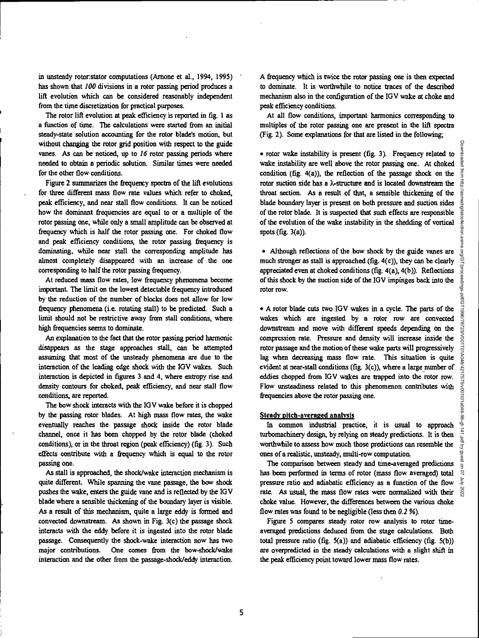in unsteady rotorstator computations (Amone et al., 1994, 1995) has shown that *100* divisions in a rotor passing period produces a lift evolution which can be considered reasonably independent from the time discretization for practical purposes.

The rotor lift evolution at peak efficiency is reported in fig. 1 as a function of time. The calculations were started from an initial steady-state solution accounting for the rotor blade's motion, but without changing the rotor grid position with respect to the guide vanes. *As* can be noticed, up to *16* rotor passing periods where needed to obtain a periodic solution. Similar times were needed for the other flow conditions.

Figure 2 summarizes the frequency spectra of the lift evolutions for three different mass flow rate values which refer to choked, peak efficiency, and near stall flow conditions. It can be noticed how the dominant frequencies are equal to or a multiple of the rotor passing one, while only a small amplitude can be observed at frequency which is half the rotor passing one. For choked flow and peak efficiency conditions, the rotor passing frequency is dominating, while near stall the corresponding amplitude has almost completely disappeared with an increase of the one corresponding to half the rotor passing frequency.

At reduced mass flow rates, low frequency phenomena become important. The limit on the lowest detectable frequency introduced by the reduction of the number of blocks does not allow for low frequency phenomena (i.e. rotating stall) to be predicted. Such a limit should not be restrictive away from stall conditions, where high frequencies seems to dominate.

An explanation to the fact that the rotor passing period harmonic disappears as the stage approaches stall, can be attempted assuming that most of the unsteady phenomena are due to the interaction of the leading edge shock with the IGV wakes. Such interaction is depicted in figures 3 and 4, where entropy rise and density contours for choked, peak efficiency, and near stall flow conditions, are reported.

The bow shock interacts with the IGV wake before it is chopped by the passing rotor blades. At high mass flow rates, the wake eventually reaches the passage shock inside the rotor blade channel, once it has been chopped by the rotor blade (choked conditions), or in the throat region (peak efficiency) (fig. 3). Such effects contribute with a frequency which is equal to the rotor passing one.

As stall is approached, the shock/wake interaction mechanism is quite different. While spanning the vane passage, the bow shock pushes the wake, enters the guide vane and is reflected by the IGV blade where a sensible thickening of the boundary layer is visible. As a result of this mechanism, quite a large eddy is formed and convected downstream. As shown in Fig. 3(c) the passage shock interacts with the eddy before it is ingested into the rotor blade passage. Consequently the shock-wake interaction now has two major contributions. One comes from the bow-shock/wake interaction and the other from the passage-shock/eddy interaction.

A frequency which is twice the rotor passing one is then *expected*  to dominate. It is worthwhile to notice traces of the described mechanism also in the configuration of the IGV wake at choke and peak efficiency conditions.

At all flow conditions, important harmonics corresponding to multiples of the rotor passing one are present in the lift spectra (Fig. 2). Some explanations for that are listed in the following;

• rotor wake instability is present (fig. 3). Frequency related to wake instability are well above the rotor passing one. At choked condition (fig. 4(a)), the reflection of the passage shock on the rotor suction side has a k-structure and is located downstream the throat section. As a result of that, a sensible thickening of the blade boundary layer is present on both pressure and suction sides of the rotor blade. It is suspected that such effects are responsible of the evolution of the wake instability in the shedding of vortical spots  $(fig. 3(a))$ .

• Although reflections of the bow shock by the guide vanes are much stronger as stall is approached (fig. 4(c)), they can be clearly appreciated even at choked conditions (fig. 4(a), 4(b)). Reflections of this shock by the suction side of the IGV impinges back into the rotor row.

• A rotor blade cuts two IGV wakes in a cycle. The parts of the wakes which are ingested by a rotor row are convected downstream and move with different speeds depending on the compression rate. Pressure and density will increase inside the rotor passage and the motion of these wake parts will progressively lag when decreasing mass flow rate. This situation is quite evident at near-stall conditions (fig. 3(c)), where a large number of eddies chopped from IGV wakes are trapped *into the* rotor row. Flow unsteadiness related to this phenomenon contributes with frequencies above the rotor passing one.

# Steady pitch-averaged analysis

In common industrial practice, it is usual to approach turbomachinery design, by relying on steady predictions. It is then worthwhile to assess how much those predictions can resemble the ones of a realistic, unsteady, multi-row computation.

The comparison *between* steady and time-averaged predictions has been performed in terms of rotor (mass flow averaged) total pressure ratio and adiabatic efficiency as a function of the flow rate. As usual, the mass flow rates were normalized with their choke value. However, the differences between the various choke flow rates was found to be negligible (less then *0.2 %).* 

Figure 5 compares steady rotor row analysis to rotor timeaveraged predictions deduced from the stage calculations. Both total pressure ratio (fig.  $5(a)$ ) and adiabatic efficiency (fig.  $5(b)$ ) are overpredicted in the steady calculations with a slight shift in the peak efficiency point toward lower mass flow rates.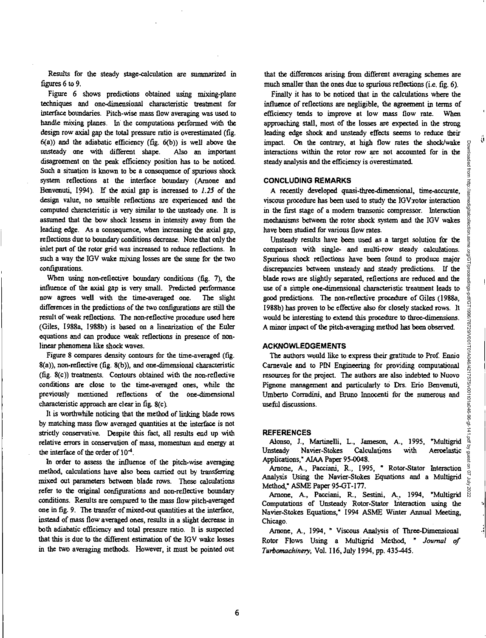Ű

Results for the steady stage-calculation are summarized in figures 6 to 9.

Figure 6 shows predictions obtained using mixing-plane techniques and one-dimensional characteristic treatment for interface boundaries. Pitch-wise mass flow averaging was used to handle mixing planes. In the computations performed with the design row axial gap the total pressure ratio is overestimated (fig. 6(a)) and the adiabatic efficiency (fig. 6(b)) is well above the unsteady one with different shape. Also an important disagreement on the peak efficiency position has to be noticed. Such a situation is known to be a consequence of spurious shock system reflections at the interface boundary (Amone and Benvenuti, 1994). If the axial gap is increased to *1.25* of the design value, no sensible reflections are experienced and the computed characteristic is very similar to the unsteady one. It is assumed that the bow shock lessens in intensity away from the leading *edge.* As a consequence, when increasing the axial gap, reflections due to boundary conditions *decrease.* Note that only the inlet part of the rotor grid was increased to reduce reflections. In such a way the IGV wake mixing losses are the same for the two configurations.

When using non-reflective boundary conditions (fig. 7), the influence of the axial gap is very small. Predicted performance now agrees well with the time-averaged one. The slight differences in the predictions of the two configurations are still the result of weak reflections. The non-reflective procedure used here (Giles, 1988a, 1988b) is based on a linearization of the Euler equations and can produce weak reflections in presence of nonlinear phenomena like shock waves.

Figure 8 compares density contours for the time-averaged (fig. 8(a)), non-reflective (fig. 8(b)), and one-dimensional characteristic (fig. 8(c)) treatments. Contours obtained with the non-reflective conditions are close to the time-averaged ones, while the previously mentioned reflections of the one-dimensional characteristic approach are clear in fig. 8(c).

It is worthwhile noticing that the method of linking blade rows by matching mass flow averaged quantities at the interface is not strictly conservative. Despite this fact, all results end up with relative errors in conservation of mass, momentum and energy at the interface of the order of  $10<sup>-4</sup>$ .

In order to assess the influence of the pitch-wise averaging method, calculations have also been carried out by transferring mixed out parameters between blade rows. These calculations refer to the original configurations and non-reflective boundary conditions. Results are compared to the mass flow pitch-averaged one in fig. 9. The transfer of mixed-out quantities at the interface, instead of mass flow averaged ones, results in a slight decrease in both adiabatic efficiency and total pressure ratio. It is suspected that this is due to the different estimation of the IGV wake losses in the two averaging methods. However, it must be pointed out

that the differences arising from different averaging schemes are much smaller than the ones due to spurious reflections (i.e. fig. 6).

Finally it has to be noticed that in the calculations where the influence of reflections are negligible, the agreement in terms of efficiency tends to improve at low mass flow rate. When approaching stall, most of the losses are expected in the strong leading edge shock and unsteady effects seems to reduce their impact. On the contrary, at high flow rates the shock/wake interactions within the rotor row are not accounted for in the steady analysis and the efficiency is overestimated.

# **CONCLUDING REMARKS**

A recently developed quasi-three-dimensional, time-accurate, viscous procedure has been used to study the IGV:rotor interaction in the first stage of a modem transonic compressor. Interaction mechanisms between the rotor shock system and the IGV wakes have been studied for various flow rates.

Unsteady results have been used as a target solution for the comparison with single- and multi-row steady calculations. Spurious shock reflections have been found to produce major discrepancies between unsteady and steady predictions. If the blade rows are slightly separated, reflections are reduced and the use of a simple one-dimensional characteristic treatment leads to good predictions. The non-reflective procedure of Giles (1988a, 1988b) has proven to be effective also for closely stacked rows. It would be interesting to extend this procedure to three-dimensions. A minor impact of the pitch-averaging method has been observed.

# **ACKNOWLEDGEMENTS**

The authors would like to express their gratitude to Prof. Ennio Carnevale and to PIN Engineering for providing computational resources for the project. The authors are also indebted to Nuovo Pignone management and particularly to Drs. Erio Benvenuti, Umberto Corradini, and Bruno Innocenti for the numerous and useful discussions.

## **REFERENCES**

Alonso, J., Martinelli, L., Jameson, A., 1995, "Multigrid Navier-Stokes Calculations with Aeroelastic Applications," AIAA Paper 95-0048.

Amone, A., Pacciani, R., 1995, " Rotor-Stator Interaction Analysis Using the Navier-Stokes Equations and a Multigrid Method," ASME Paper 95-GT-177.

Arnone, A., Pacciani, R., Sestini, A., 1994, "Multigrid Computations of Unsteady Rotor-Stator Interaction using the Navier-Stokes Equations," 1994 ASME Winter Annual Meeting, Chicago.

Amone, A., 1994, " Viscous Analysis of Three-Dimensional Rotor Flows Using a Multigrid Method, " *Journal of Turbomachinety,* Vol. 116, July 1994, pp. 435-445.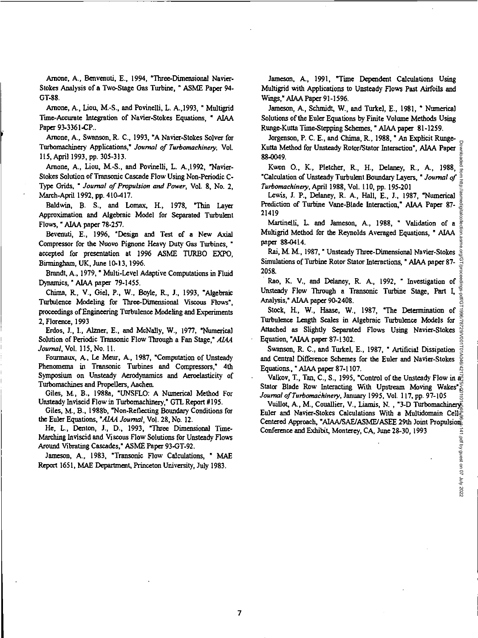Amone, A., Benvenuti, E., 1994, "Three-Dimensional Navier-Stokes Analysis of a Two-Stage Gas Turbine, " ASME Paper 94- GT-88.

Amone, A., Liou, M.-S., and Povinelli, L. A.,1993, " Multigrid Time-Accurate Integration of Navier-Stokes Equations, " AIAA Paper 93-3361-CP..

Arnone, A., Swanson, R. C., 1993, "A Navier-Stokes Solver for Turbomachinery Applications," *Journal of Turbomachinery,* Vol. 115, April 1993, pp. 305-313.

Arnone, A., Liou, M.-S., and Povinelli, L. A.,1992, 'Wavier-Stokes Solution of Transonic Cascade Flow Using Non-Periodic C-Type Grids, " *Journal of Propulsion and Power,* Vol. 8, No. 2, March-April 1992, pp. 410-417.

Baldwin, B. S., and Lomax, H., 1978, "Thin Layer Approximation and Algebraic Model for Separated Turbulent Flows, "AIAA paper 78-257.

Bevenuti, E., 1996, "Design and Test of a New Axial Compressor for the Nuovo Pignone Heavy Duty Gas Turbines, " accepted for presentation at 1996 ASME TURBO EXPO, Birmingham, UK, June 10-13, 1996.

Brandt, A., 1979, " Multi-Level Adaptive Computations in Fluid Dynamics, " AIAA paper 79-1455.

Chima, R., V., Giel, P., W., Boyle, R., J., 1993, "Algebraic Turbulence Modeling for Three-Dimensional Viscous Flows", proceedings of Engineering Turbulence Modeling and Experiments 2, Florence, 1993

Erdos, J., I., Alzner, E., and McNally, W., 1977, "Numerical Solution of Periodic Transonic Flow Through a Fan Stage," *AMA Jcnimal,* Vol. 115, No. 11.

Founnaux, A., Le Meur, A., 1987, "Computation of Unsteady Phenomema in Transonic Turbines and Compressors," 4th Symposium on Unsteady Aerodynamics and Aeroelasticity of Turbomachines and Propellers, Aachen.

Giles, M., B., 1988a, "UNSFLO: A Numerical Method For Unsteady Inviscid Flow in Turbomachinery," GTL Report #195.

Giles, M., B., 1988b, "Non-Reflecting Boundary Conditions for the Euler Equations, *"AMA Journal,* Vol. 28, No. 12.

He, L., Denton, J., D., 1993, "Three Dimensional Time-Marching Inviscid and Viscous Flow Solutions for Unsteady Flows Around Vibrating *Cascades,"* ASME Paper 93-GT-92.

Jameson, A., 1983, "Transonic Flow Calculations, " MAE Report 1651, MAE Department, Princeton University, July 1983.

Jameson, A., 1991, "Time Dependent Calculations Using Multigrid with Applications to Unsteady Flows Past Airfoils and Wings," AIAA Paper 91-1596.

Jameson, A., Schmidt, W., and Turkel, E., 1981, 'Numerical Solutions of the Euler Equations by Finite Volume Methods Using Runge-Kutta Time-Stepping Schemes, "AIAA paper 81-1259.

Jorgenson, P. C. E., and Chima, R., 1988, "An Explicit Runge-Kutta Method for Unsteady Rotor/Stator Interaction", AIAA Paper 88-0049.

Kwon 0., K., Pletcher, R., H., Delaney, R., A., 1988, "Calculation of Unsteady Turbulent Boundary Layers, ' *Journal of Turbornachinery,* April 1988, Vol. 110, pp. 195-201

Lewis, J. P., Delaney, R. A., Hall, E., J., 1987, 'Numerical Prediction of Turbine Vane-Blade Interaction," AIAA Paper 87-21419

Martinelli, L. and Jameson, A., 1988, " Validation of a Multigrid Method for the Reynolds Averaged Equations, "AMA paper 88-0414.

Rai, M. M., 1987, " Unsteady Three-Dimensional Navier-Stokes Simulations of Turbine Rotor Stator Interactions, "AIAA paper 87-2058.

Rao, K. V., and Delaney, R. A., 1992, " Investigation of Unsteady Flow Through a Transonic Turbine Stage, Part I, Analysis," AIAA paper 90-2408.

Stock, H., W., Haase, W., 1987, "The Determination of Turbulence Length Scales in Algebraic Turbulence Models for Attached as Slightly Separated Flows Using Navier-Stokes Equation, "AIAA paper 87-1302.

Swanson, R. C., and Turkel, E., 1987, " Artificial Dissipation and Central Difference Schemes for the Euler and Navier-Stokes Equations., " AIAA paper 87-1107.

Valkov, T., Tan, C., S., 1995, "Control of the Unsteady Flow in a Stator Blade Row Interacting With Upstream Moving Wakes" Journal of Turbomachinery, January 1995, Vol. 117, pp. 97-105

Vuillot, A., M., Couallier, V., Liamis, N., "3-D Turbomachinery Euler and Navier-Stokes Calculations With a Multidomain Cell<sup>5</sup> Centered Approach, "AIAA/SAFJASME/ASEE 29th Joint Propulsion Conference and Exhibit, Monterey, CA, June 28-30, 1993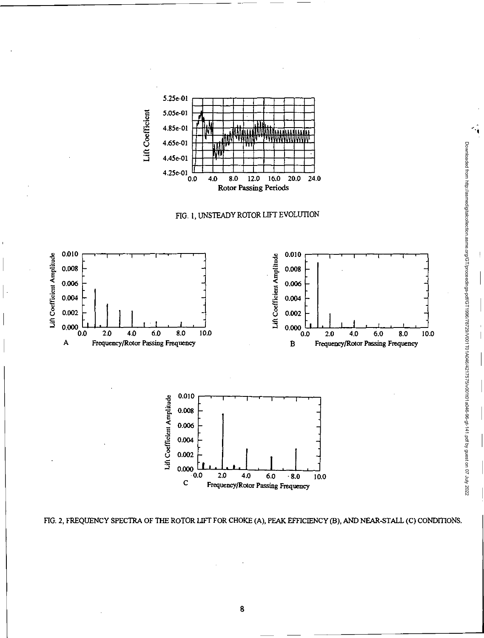





Downloaded from http://asmedigitalcollection.asme.org/GT/proceedings-pdf/GTT1996/78729/V001T01A046/4217575/v001t01a046-96-gt-141.pdf by guest on 07 July 2022

FIG. 2, FREQUENCY SPECTRA OF THE ROTOR LIFT FOR CHOKE (A), PEAK EFFICIENCY (B), AND NEAR-STALL (C) CONDITIONS.

8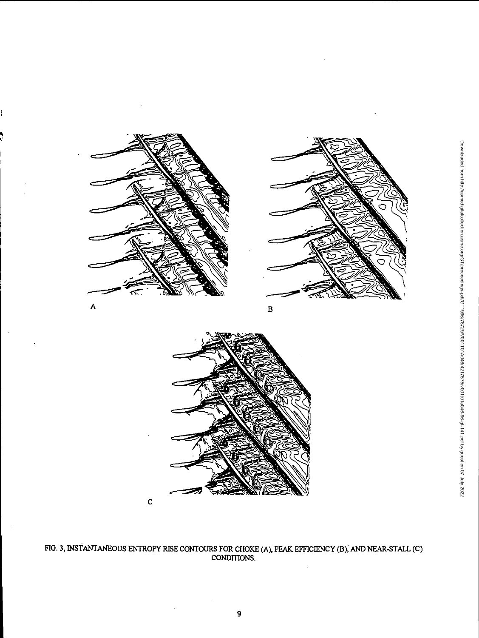



 $\overline{\mathbf{B}}$ 



FIG. 3, INSTANTANEOUS ENTROPY RISE CONTOURS FOR CHOKE (A), PEAK EFFICIENCY (B); AND NEAR-STALL (C) CONDITIONS.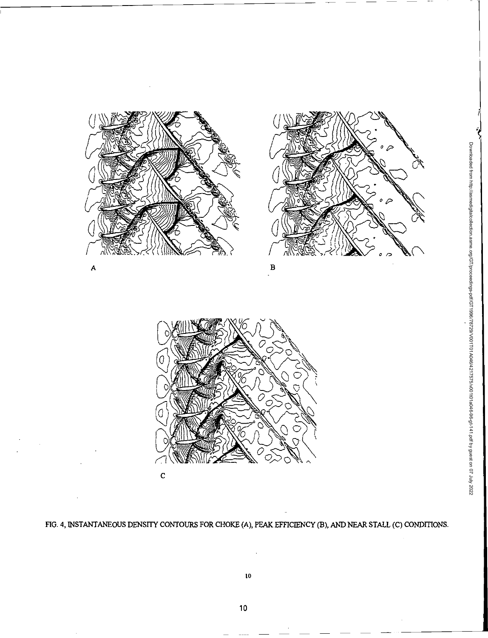





FIG. 4, INSTANTANEOUS DENSITY CONTOURS FOR CHOKE (A), PEAK EFFICIENCY (B), AND NEAR STALL (C) CONDITIONS.

to

10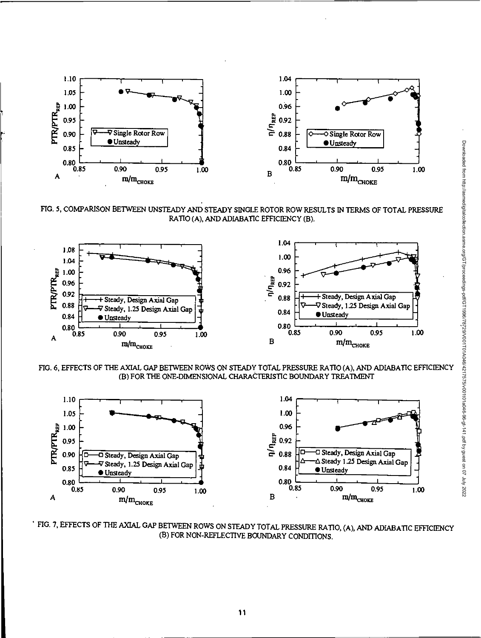

FIG. 5, COMPARISON BETWEEN UNSTEADY AND STEADY SINGLE ROTOR ROW RESULTS IN TERMS OF TOTAL PRESSURE RATIO (A), AND ADIABATIC EFFICIENCY (B).



FIG. 6, EFFECTS OF THE AXIAL GAP BETWEEN ROWS ON STEADY TOTAL PRESSURE RATIO (A), AND ADIABATIC EFFICIENCY (B) FOR THE ONE-DIMENSIONAL CHARACTERISTIC BOUNDARY TREATMENT



FIG. 7, EFFECTS OF THE AXIAL GAP BETWEEN ROWS ON STEADY TOTAL PRESSURE RATIO, (A), AND ADIABATIC EFFICIENCY ' (B) FOR NON-REFLECTIVE BOUNDARY CONDITIONS.